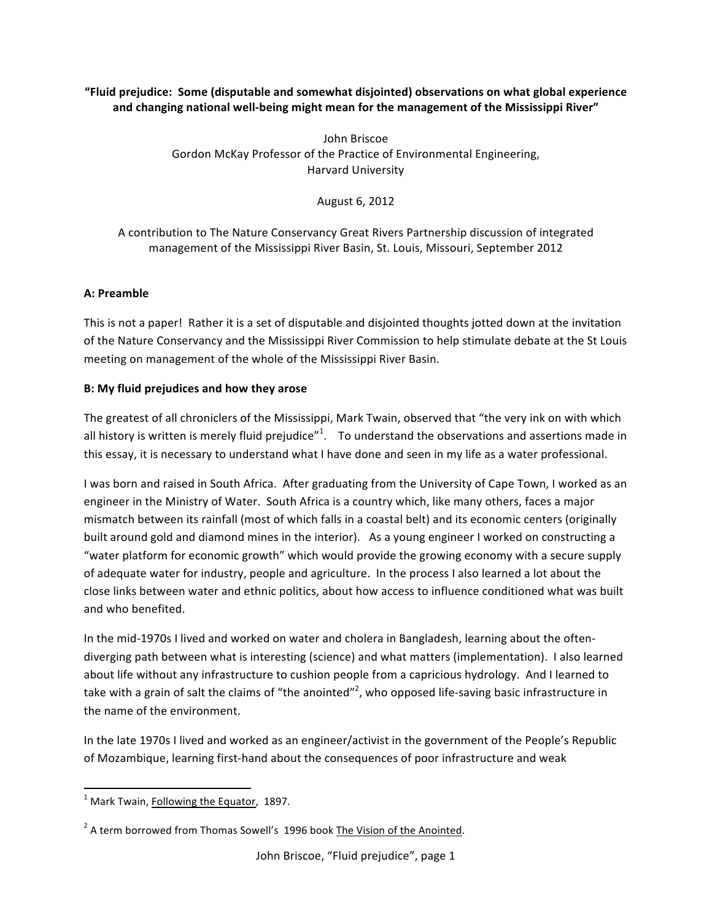**"Fluid'prejudice:''Some'(disputable'and'somewhat'disjointed) observations on'what'global'experience'** and changing national well-being might mean for the management of the Mississippi River"

> John Briscoe Gordon McKay Professor of the Practice of Environmental Engineering, Harvard University

> > August 6, 2012

A contribution to The Nature Conservancy Great Rivers Partnership discussion of integrated management of the Mississippi River Basin, St. Louis, Missouri, September 2012

## **A: Preamble**

This is not a paper! Rather it is a set of disputable and disjointed thoughts jotted down at the invitation of the Nature Conservancy and the Mississippi River Commission to help stimulate debate at the St Louis meeting on management of the whole of the Mississippi River Basin.

### **B: My fluid prejudices and how they arose**

The greatest of all chroniclers of the Mississippi, Mark Twain, observed that "the very ink on with which all history is written is merely fluid prejudice"<sup>1</sup>. To understand the observations and assertions made in this essay, it is necessary to understand what I have done and seen in my life as a water professional.

I was born and raised in South Africa. After graduating from the University of Cape Town, I worked as an engineer in the Ministry of Water. South Africa is a country which, like many others, faces a major mismatch between its rainfall (most of which falls in a coastal belt) and its economic centers (originally built around gold and diamond mines in the interior). As a young engineer I worked on constructing a "water platform for economic growth" which would provide the growing economy with a secure supply of adequate water for industry, people and agriculture. In the process I also learned a lot about the close links between water and ethnic politics, about how access to influence conditioned what was built and who benefited.

In the mid-1970s I lived and worked on water and cholera in Bangladesh, learning about the oftendiverging path between what is interesting (science) and what matters (implementation). I also learned about life without any infrastructure to cushion people from a capricious hydrology. And I learned to take with a grain of salt the claims of "the anointed"<sup>2</sup>, who opposed life-saving basic infrastructure in the name of the environment.

In the late 1970s I lived and worked as an engineer/activist in the government of the People's Republic of Mozambique, learning first-hand about the consequences of poor infrastructure and weak

 $<sup>1</sup>$  Mark Twain, **Following the Equator**, 1897.</sup>

 $^2$  A term borrowed from Thomas Sowell's 1996 book The Vision of the Anointed.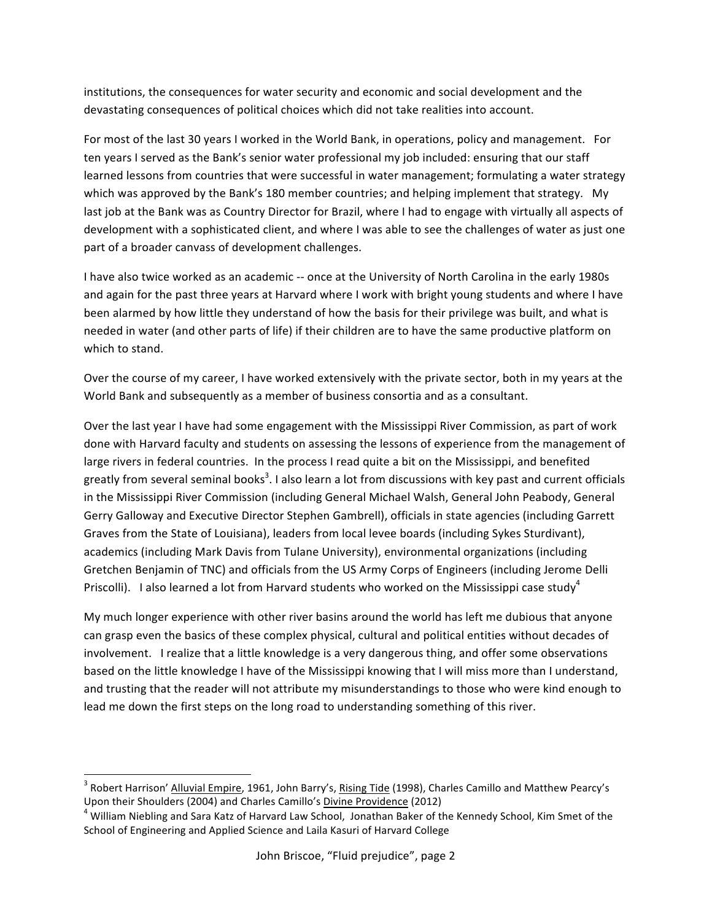institutions, the consequences for water security and economic and social development and the devastating consequences of political choices which did not take realities into account.

For most of the last 30 years I worked in the World Bank, in operations, policy and management. For ten years I served as the Bank's senior water professional my job included: ensuring that our staff learned lessons from countries that were successful in water management; formulating a water strategy which was approved by the Bank's 180 member countries; and helping implement that strategy. My last job at the Bank was as Country Director for Brazil, where I had to engage with virtually all aspects of development with a sophisticated client, and where I was able to see the challenges of water as just one part of a broader canvass of development challenges.

I have also twice worked as an academic -- once at the University of North Carolina in the early 1980s and again for the past three years at Harvard where I work with bright young students and where I have been alarmed by how little they understand of how the basis for their privilege was built, and what is needed in water (and other parts of life) if their children are to have the same productive platform on which to stand.

Over the course of my career, I have worked extensively with the private sector, both in my years at the World Bank and subsequently as a member of business consortia and as a consultant.

Over the last year I have had some engagement with the Mississippi River Commission, as part of work done with Harvard faculty and students on assessing the lessons of experience from the management of large rivers in federal countries. In the process I read quite a bit on the Mississippi, and benefited greatly from several seminal books<sup>3</sup>. I also learn a lot from discussions with key past and current officials in the Mississippi River Commission (including General Michael Walsh, General John Peabody, General Gerry Galloway and Executive Director Stephen Gambrell), officials in state agencies (including Garrett Graves from the State of Louisiana), leaders from local levee boards (including Sykes Sturdivant), academics (including Mark Davis from Tulane University), environmental organizations (including Gretchen Benjamin of TNC) and officials from the US Army Corps of Engineers (including Jerome Delli Priscolli). I also learned a lot from Harvard students who worked on the Mississippi case study<sup>4</sup>

My much longer experience with other river basins around the world has left me dubious that anyone can grasp even the basics of these complex physical, cultural and political entities without decades of involvement. I realize that a little knowledge is a very dangerous thing, and offer some observations based on the little knowledge I have of the Mississippi knowing that I will miss more than I understand, and trusting that the reader will not attribute my misunderstandings to those who were kind enough to lead me down the first steps on the long road to understanding something of this river.

<sup>&</sup>lt;sup>3</sup> Robert Harrison' <u>Alluvial Empire</u>, 1961, John Barry's, <u>Rising Tide</u> (1998), Charles Camillo and Matthew Pearcy's

Upon their Shoulders (2004) and Charles Camillo's <u>Divine Providence</u> (2012) 4 William Niebling and Sara Katz of Harvard Law School, Jonathan Baker of the Kennedy School, Kim Smet of the School of Engineering and Applied Science and Laila Kasuri of Harvard College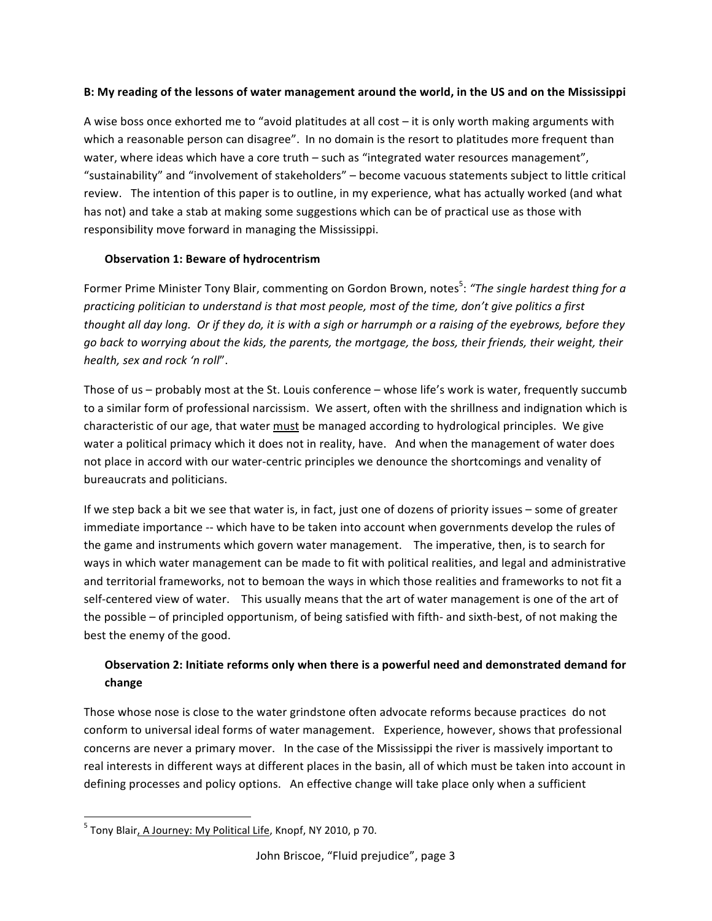### **B:'My'reading'of'the'lessons'of'water'management'around'the'world,'in'the'US'and'on'the'Mississippi**

A wise boss once exhorted me to "avoid platitudes at all cost – it is only worth making arguments with which a reasonable person can disagree". In no domain is the resort to platitudes more frequent than water, where ideas which have a core truth – such as "integrated water resources management", "sustainability" and "involvement of stakeholders" – become vacuous statements subject to little critical review. The intention of this paper is to outline, in my experience, what has actually worked (and what has not) and take a stab at making some suggestions which can be of practical use as those with responsibility move forward in managing the Mississippi.

## **Observation 1: Beware of hydrocentrism**

Former Prime Minister Tony Blair, commenting on Gordon Brown, notes<sup>5</sup>: "The single hardest thing for a *practicing politician to understand is that most people, most of the time, don't give politics a first thought all day long. Or if they do, it is with a sigh or harrumph or a raising of the eyebrows, before they go!back!to!worrying!about!the!kids,!the!parents,!the!mortgage,!the!boss,!their!friends,!their!weight,!their!* health, sex and rock 'n roll".

Those of us – probably most at the St. Louis conference – whose life's work is water, frequently succumb to a similar form of professional narcissism. We assert, often with the shrillness and indignation which is characteristic of our age, that water must be managed according to hydrological principles. We give water a political primacy which it does not in reality, have. And when the management of water does not place in accord with our water-centric principles we denounce the shortcomings and venality of bureaucrats and politicians.

If we step back a bit we see that water is, in fact, just one of dozens of priority issues – some of greater immediate importance -- which have to be taken into account when governments develop the rules of the game and instruments which govern water management. The imperative, then, is to search for ways in which water management can be made to fit with political realities, and legal and administrative and territorial frameworks, not to bemoan the ways in which those realities and frameworks to not fit a self-centered view of water. This usually means that the art of water management is one of the art of the possible – of principled opportunism, of being satisfied with fifth- and sixth-best, of not making the best the enemy of the good.

# **Observation 2: Initiate reforms only when there is a powerful need and demonstrated demand for change**

Those whose nose is close to the water grindstone often advocate reforms because practices do not conform to universal ideal forms of water management. Experience, however, shows that professional concerns are never a primary mover. In the case of the Mississippi the river is massively important to real interests in different ways at different places in the basin, all of which must be taken into account in defining processes and policy options. An effective change will take place only when a sufficient

<sup>&</sup>lt;sup>5</sup> Tony Blair<u>, A Journey: My Political Life</u>, Knopf, NY 2010, p 70.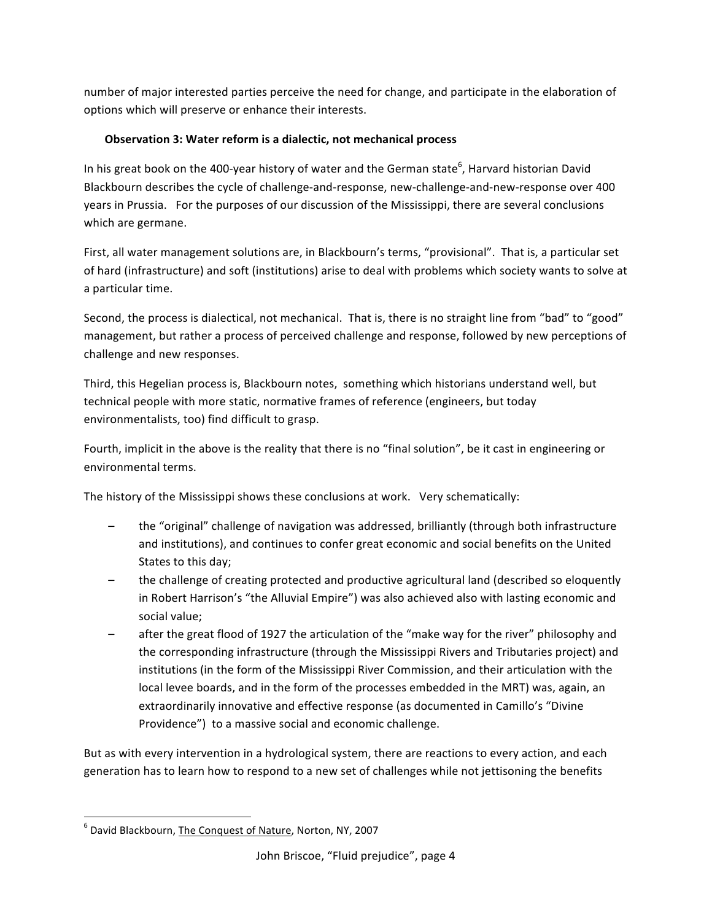number of major interested parties perceive the need for change, and participate in the elaboration of options which will preserve or enhance their interests.

# **Observation 3: Water reform is a dialectic, not mechanical process**

In his great book on the 400-year history of water and the German state<sup>6</sup>, Harvard historian David Blackbourn describes the cycle of challenge-and-response, new-challenge-and-new-response over 400 years in Prussia. For the purposes of our discussion of the Mississippi, there are several conclusions which are germane.

First, all water management solutions are, in Blackbourn's terms, "provisional". That is, a particular set of hard (infrastructure) and soft (institutions) arise to deal with problems which society wants to solve at a particular time.

Second, the process is dialectical, not mechanical. That is, there is no straight line from "bad" to "good" management, but rather a process of perceived challenge and response, followed by new perceptions of challenge and new responses.

Third, this Hegelian process is, Blackbourn notes, something which historians understand well, but technical people with more static, normative frames of reference (engineers, but today environmentalists, too) find difficult to grasp.

Fourth, implicit in the above is the reality that there is no "final solution", be it cast in engineering or environmental terms.

The history of the Mississippi shows these conclusions at work. Very schematically:

- the "original" challenge of navigation was addressed, brilliantly (through both infrastructure and institutions), and continues to confer great economic and social benefits on the United States to this day;
- the challenge of creating protected and productive agricultural land (described so eloquently in Robert Harrison's "the Alluvial Empire") was also achieved also with lasting economic and social value;
- after the great flood of 1927 the articulation of the "make way for the river" philosophy and the corresponding infrastructure (through the Mississippi Rivers and Tributaries project) and institutions (in the form of the Mississippi River Commission, and their articulation with the local levee boards, and in the form of the processes embedded in the MRT) was, again, an extraordinarily innovative and effective response (as documented in Camillo's "Divine" Providence") to a massive social and economic challenge.

But as with every intervention in a hydrological system, there are reactions to every action, and each generation has to learn how to respond to a new set of challenges while not jettisoning the benefits

 $\,$  %  $\,$  %  $\,$  %  $\,$  %  $\,$  %  $\,$  %  $\,$  %  $\,$  %  $\,$  %  $\,$  %  $\,$  %  $\,$  %  $\,$  %  $\,$  %  $\,$  %  $\,$  %  $\,$  %  $\,$  %  $\,$  %  $\,$  %  $\,$  %  $\,$  %  $\,$  %  $\,$  %  $\,$  %  $\,$  %  $\,$  %  $\,$  %  $\,$  %  $\,$  %  $\,$  %  $\,$ <sup>6</sup> David Blackbourn, The Conquest of Nature, Norton, NY, 2007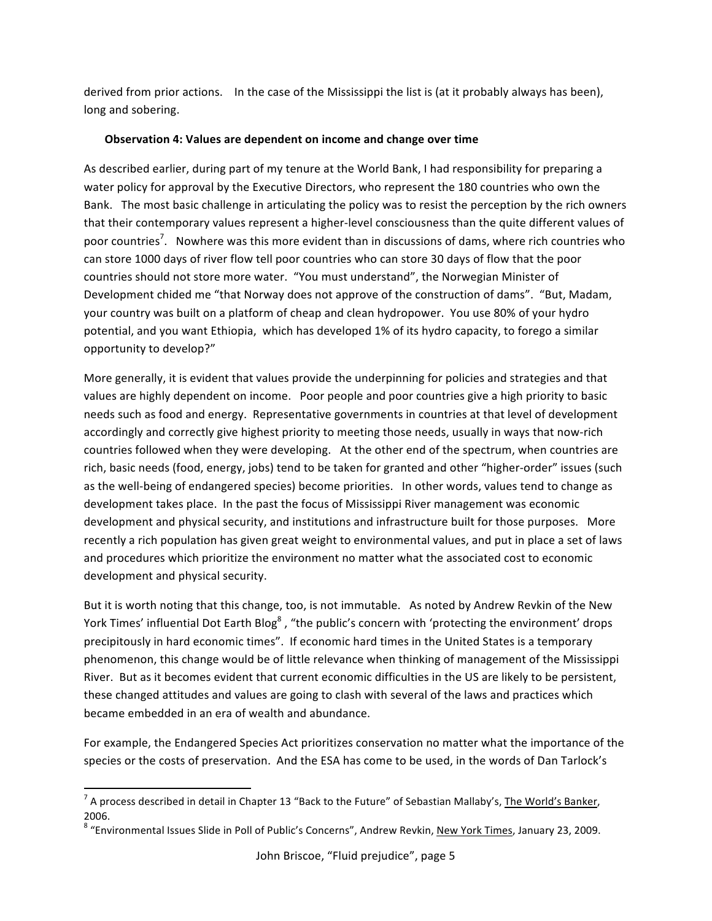derived from prior actions. In the case of the Mississippi the list is (at it probably always has been), long and sobering.

#### **Observation 4: Values are dependent on income and change over time**

As described earlier, during part of my tenure at the World Bank, I had responsibility for preparing a water policy for approval by the Executive Directors, who represent the 180 countries who own the Bank. The most basic challenge in articulating the policy was to resist the perception by the rich owners that their contemporary values represent a higher-level consciousness than the quite different values of poor countries<sup>7</sup>. Nowhere was this more evident than in discussions of dams, where rich countries who can store 1000 days of river flow tell poor countries who can store 30 days of flow that the poor countries should not store more water. "You must understand", the Norwegian Minister of Development chided me "that Norway does not approve of the construction of dams". "But, Madam, your country was built on a platform of cheap and clean hydropower. You use 80% of your hydro potential, and you want Ethiopia, which has developed 1% of its hydro capacity, to forego a similar opportunity to develop?"

More generally, it is evident that values provide the underpinning for policies and strategies and that values are highly dependent on income. Poor people and poor countries give a high priority to basic needs such as food and energy. Representative governments in countries at that level of development accordingly and correctly give highest priority to meeting those needs, usually in ways that now-rich countries followed when they were developing. At the other end of the spectrum, when countries are rich, basic needs (food, energy, jobs) tend to be taken for granted and other "higher-order" issues (such as the well-being of endangered species) become priorities. In other words, values tend to change as development takes place. In the past the focus of Mississippi River management was economic development and physical security, and institutions and infrastructure built for those purposes. More recently a rich population has given great weight to environmental values, and put in place a set of laws and procedures which prioritize the environment no matter what the associated cost to economic development and physical security.

But it is worth noting that this change, too, is not immutable. As noted by Andrew Revkin of the New York Times' influential Dot Earth Blog<sup>8</sup>, "the public's concern with 'protecting the environment' drops precipitously in hard economic times". If economic hard times in the United States is a temporary phenomenon, this change would be of little relevance when thinking of management of the Mississippi River. But as it becomes evident that current economic difficulties in the US are likely to be persistent, these changed attitudes and values are going to clash with several of the laws and practices which became embedded in an era of wealth and abundance.

For example, the Endangered Species Act prioritizes conservation no matter what the importance of the species or the costs of preservation. And the ESA has come to be used, in the words of Dan Tarlock's

<sup>&</sup>lt;sup>7</sup> A process described in detail in Chapter 13 "Back to the Future" of Sebastian Mallaby's, <u>The World's Banker</u>, 2006.

 $^8$  "Environmental Issues Slide in Poll of Public's Concerns", Andrew Revkin, <u>New York Times</u>, January 23, 2009.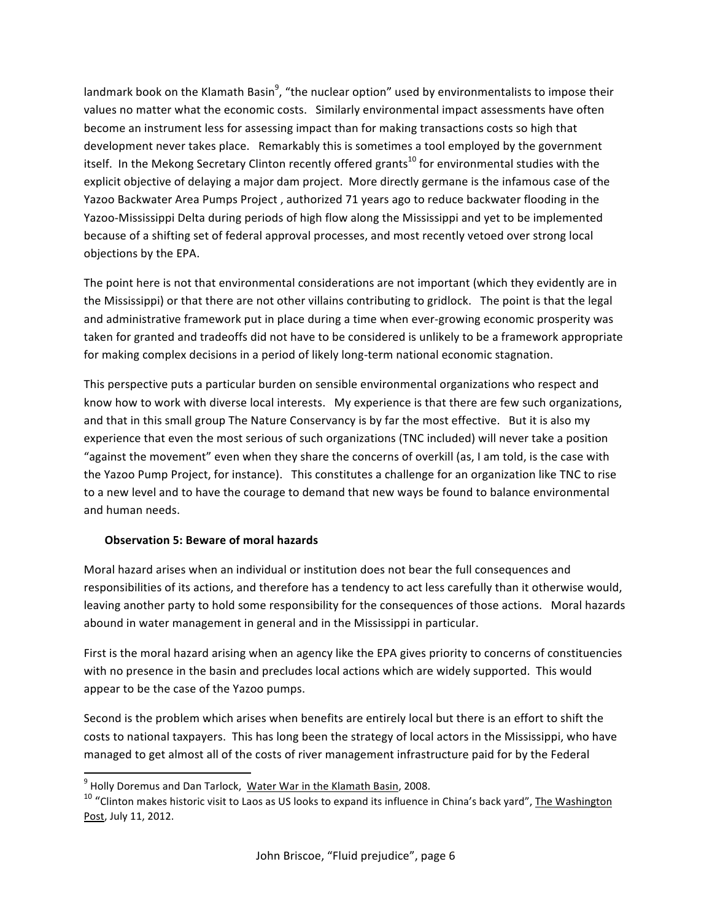landmark book on the Klamath Basin<sup>9</sup>, "the nuclear option" used by environmentalists to impose their values no matter what the economic costs. Similarly environmental impact assessments have often become an instrument less for assessing impact than for making transactions costs so high that development never takes place. Remarkably this is sometimes a tool employed by the government itself. In the Mekong Secretary Clinton recently offered grants<sup>10</sup> for environmental studies with the explicit objective of delaying a major dam project. More directly germane is the infamous case of the Yazoo Backwater Area Pumps Project, authorized 71 years ago to reduce backwater flooding in the Yazoo-Mississippi Delta during periods of high flow along the Mississippi and yet to be implemented because of a shifting set of federal approval processes, and most recently vetoed over strong local objections by the EPA.

The point here is not that environmental considerations are not important (which they evidently are in the Mississippi) or that there are not other villains contributing to gridlock. The point is that the legal and administrative framework put in place during a time when ever-growing economic prosperity was taken for granted and tradeoffs did not have to be considered is unlikely to be a framework appropriate for making complex decisions in a period of likely long-term national economic stagnation.

This perspective puts a particular burden on sensible environmental organizations who respect and know how to work with diverse local interests. My experience is that there are few such organizations, and that in this small group The Nature Conservancy is by far the most effective. But it is also my experience that even the most serious of such organizations (TNC included) will never take a position "against the movement" even when they share the concerns of overkill (as, I am told, is the case with the Yazoo Pump Project, for instance). This constitutes a challenge for an organization like TNC to rise to a new level and to have the courage to demand that new ways be found to balance environmental and human needs.

## **Observation 5: Beware of moral hazards**

Moral hazard arises when an individual or institution does not bear the full consequences and responsibilities of its actions, and therefore has a tendency to act less carefully than it otherwise would, leaving another party to hold some responsibility for the consequences of those actions. Moral hazards abound in water management in general and in the Mississippi in particular.

First is the moral hazard arising when an agency like the EPA gives priority to concerns of constituencies with no presence in the basin and precludes local actions which are widely supported. This would appear to be the case of the Yazoo pumps.

Second is the problem which arises when benefits are entirely local but there is an effort to shift the costs to national taxpayers. This has long been the strategy of local actors in the Mississippi, who have managed to get almost all of the costs of river management infrastructure paid for by the Federal

w Wally Doremus and Dan Tarlock, Water War in the Klamath Basin, 2008.<br><sup>9</sup> Holly Doremus and Dan Tarlock, Water War in the Klamath Basin, 2008.

<sup>&</sup>lt;sup>10</sup> "Clinton makes historic visit to Laos as US looks to expand its influence in China's back yard", The Washington Post, July 11, 2012.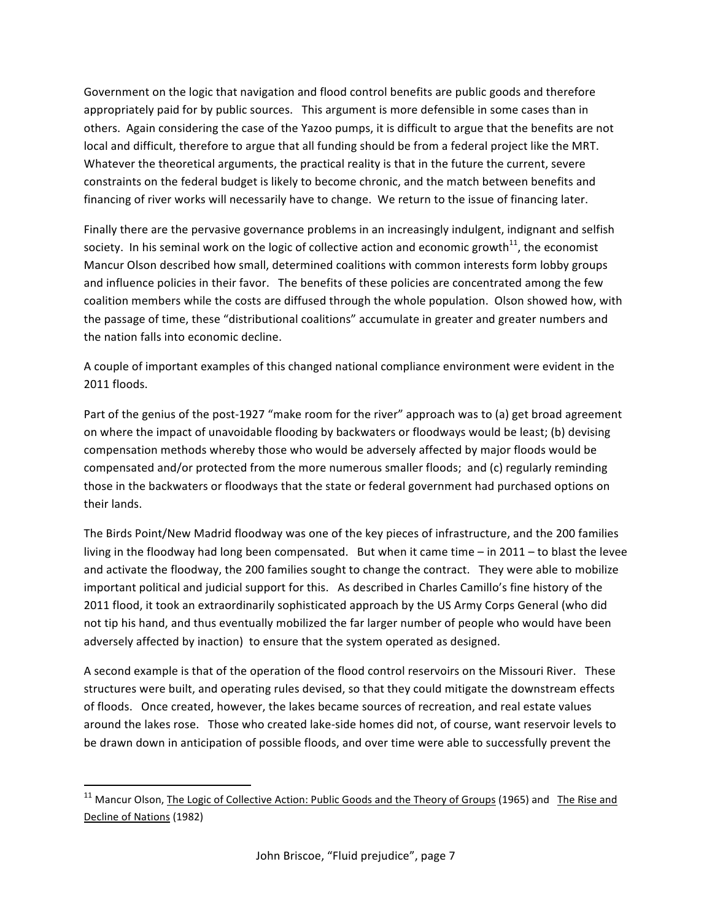Government on the logic that navigation and flood control benefits are public goods and therefore appropriately paid for by public sources. This argument is more defensible in some cases than in others. Again considering the case of the Yazoo pumps, it is difficult to argue that the benefits are not local and difficult, therefore to argue that all funding should be from a federal project like the MRT. Whatever the theoretical arguments, the practical reality is that in the future the current, severe constraints on the federal budget is likely to become chronic, and the match between benefits and financing of river works will necessarily have to change. We return to the issue of financing later.

Finally there are the pervasive governance problems in an increasingly indulgent, indignant and selfish society. In his seminal work on the logic of collective action and economic growth<sup>11</sup>, the economist Mancur Olson described how small, determined coalitions with common interests form lobby groups and influence policies in their favor. The benefits of these policies are concentrated among the few coalition members while the costs are diffused through the whole population. Olson showed how, with the passage of time, these "distributional coalitions" accumulate in greater and greater numbers and the nation falls into economic decline.

A couple of important examples of this changed national compliance environment were evident in the 2011 floods.

Part of the genius of the post-1927 "make room for the river" approach was to (a) get broad agreement on where the impact of unavoidable flooding by backwaters or floodways would be least; (b) devising compensation methods whereby those who would be adversely affected by major floods would be compensated and/or protected from the more numerous smaller floods; and (c) regularly reminding those in the backwaters or floodways that the state or federal government had purchased options on their lands.

The Birds Point/New Madrid floodway was one of the key pieces of infrastructure, and the 200 families living in the floodway had long been compensated. But when it came time – in  $2011$  – to blast the levee and activate the floodway, the 200 families sought to change the contract. They were able to mobilize important political and judicial support for this. As described in Charles Camillo's fine history of the 2011 flood, it took an extraordinarily sophisticated approach by the US Army Corps General (who did not tip his hand, and thus eventually mobilized the far larger number of people who would have been adversely affected by inaction) to ensure that the system operated as designed.

A second example is that of the operation of the flood control reservoirs on the Missouri River. These structures were built, and operating rules devised, so that they could mitigate the downstream effects of floods. Once created, however, the lakes became sources of recreation, and real estate values around the lakes rose. Those who created lake-side homes did not, of course, want reservoir levels to be drawn down in anticipation of possible floods, and over time were able to successfully prevent the

<sup>&</sup>lt;sup>11</sup> Mancur Olson, The Logic of Collective Action: Public Goods and the Theory of Groups (1965) and The Rise and Decline of Nations (1982)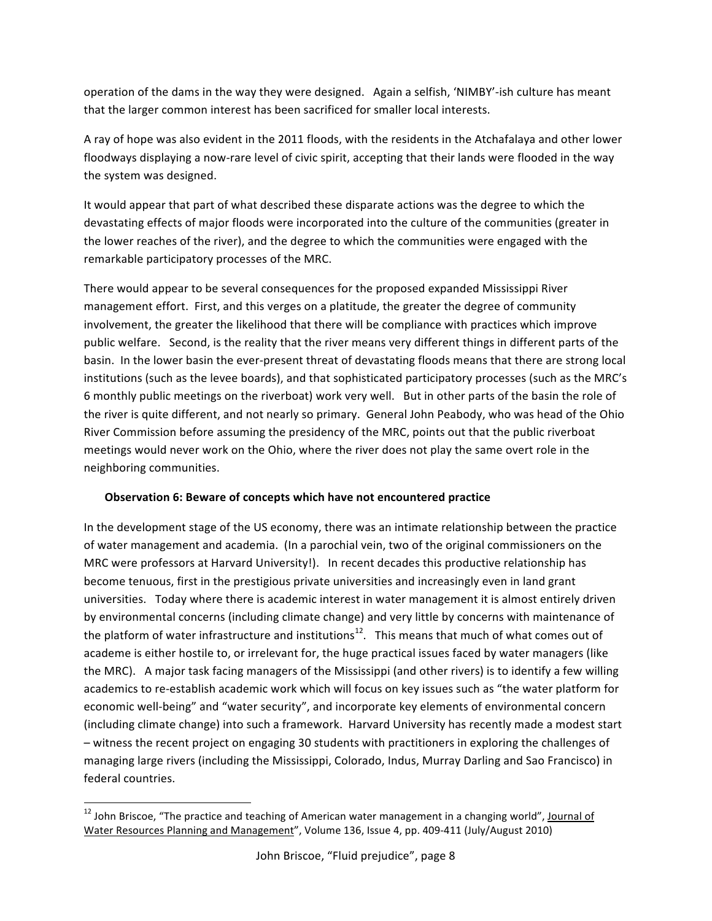operation of the dams in the way they were designed. Again a selfish, 'NIMBY'-ish culture has meant that the larger common interest has been sacrificed for smaller local interests.

A ray of hope was also evident in the 2011 floods, with the residents in the Atchafalaya and other lower floodways displaying a now-rare level of civic spirit, accepting that their lands were flooded in the way the system was designed.

It would appear that part of what described these disparate actions was the degree to which the devastating effects of major floods were incorporated into the culture of the communities (greater in the lower reaches of the river), and the degree to which the communities were engaged with the remarkable participatory processes of the MRC.

There would appear to be several consequences for the proposed expanded Mississippi River management effort. First, and this verges on a platitude, the greater the degree of community involvement, the greater the likelihood that there will be compliance with practices which improve public welfare. Second, is the reality that the river means very different things in different parts of the basin. In the lower basin the ever-present threat of devastating floods means that there are strong local institutions (such as the levee boards), and that sophisticated participatory processes (such as the MRC's 6 monthly public meetings on the riverboat) work very well. But in other parts of the basin the role of the river is quite different, and not nearly so primary. General John Peabody, who was head of the Ohio River Commission before assuming the presidency of the MRC, points out that the public riverboat meetings would never work on the Ohio, where the river does not play the same overt role in the neighboring communities.

## **Observation 6: Beware of concepts which have not encountered practice**

In the development stage of the US economy, there was an intimate relationship between the practice of water management and academia. (In a parochial vein, two of the original commissioners on the MRC were professors at Harvard University!). In recent decades this productive relationship has become tenuous, first in the prestigious private universities and increasingly even in land grant universities. Today where there is academic interest in water management it is almost entirely driven by environmental concerns (including climate change) and very little by concerns with maintenance of the platform of water infrastructure and institutions<sup>12</sup>. This means that much of what comes out of academe is either hostile to, or irrelevant for, the huge practical issues faced by water managers (like the MRC). A major task facing managers of the Mississippi (and other rivers) is to identify a few willing academics to re-establish academic work which will focus on key issues such as "the water platform for economic well-being" and "water security", and incorporate key elements of environmental concern (including climate change) into such a framework. Harvard University has recently made a modest start – witness the recent project on engaging 30 students with practitioners in exploring the challenges of managing large rivers (including the Mississippi, Colorado, Indus, Murray Darling and Sao Francisco) in federal countries.

%%%%%%%%%%%%%%%%%%%%%%%%%%%%%%%%%%%%%%%%%%%%%%%%%%%%%%%%%%%%

<sup>&</sup>lt;sup>12</sup> John Briscoe, "The practice and teaching of American water management in a changing world", <u>Journal of</u> Water Resources Planning and Management", Volume 136, Issue 4, pp. 409-411 (July/August 2010)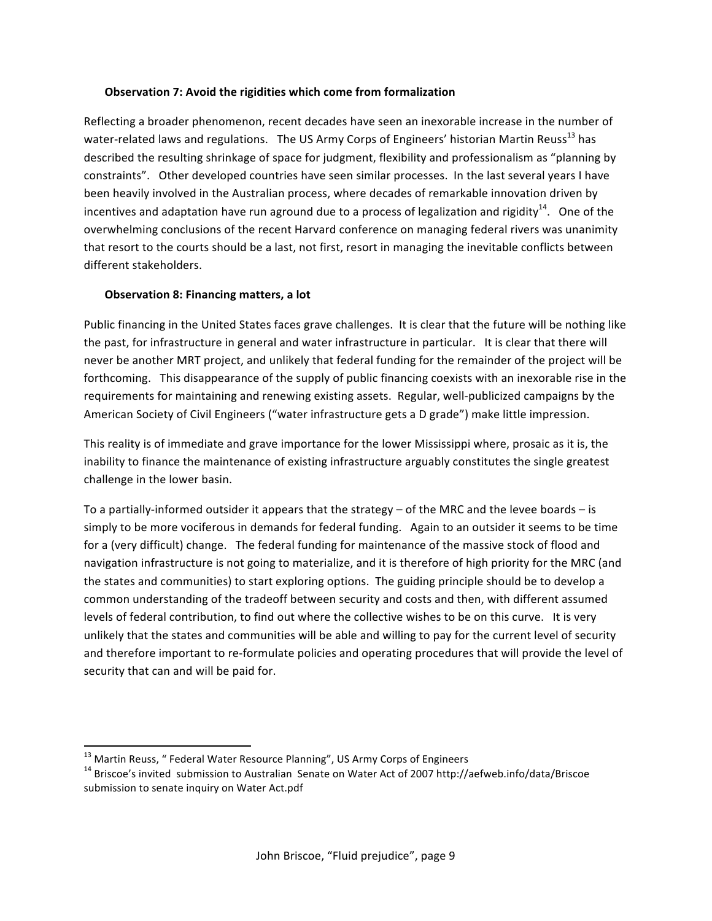#### **Observation 7: Avoid the rigidities which come from formalization**

Reflecting a broader phenomenon, recent decades have seen an inexorable increase in the number of water-related laws and regulations. The US Army Corps of Engineers' historian Martin Reuss<sup>13</sup> has described the resulting shrinkage of space for judgment, flexibility and professionalism as "planning by constraints". Other developed countries have seen similar processes. In the last several years I have been heavily involved in the Australian process, where decades of remarkable innovation driven by incentives and adaptation have run aground due to a process of legalization and rigidity<sup>14</sup>. One of the overwhelming conclusions of the recent Harvard conference on managing federal rivers was unanimity that resort to the courts should be a last, not first, resort in managing the inevitable conflicts between different stakeholders.

#### **Observation 8: Financing matters, a lot**

Public financing in the United States faces grave challenges. It is clear that the future will be nothing like the past, for infrastructure in general and water infrastructure in particular. It is clear that there will never be another MRT project, and unlikely that federal funding for the remainder of the project will be forthcoming. This disappearance of the supply of public financing coexists with an inexorable rise in the requirements for maintaining and renewing existing assets. Regular, well-publicized campaigns by the American Society of Civil Engineers ("water infrastructure gets a D grade") make little impression.

This reality is of immediate and grave importance for the lower Mississippi where, prosaic as it is, the inability to finance the maintenance of existing infrastructure arguably constitutes the single greatest challenge in the lower basin.

To a partially-informed outsider it appears that the strategy – of the MRC and the levee boards – is simply to be more vociferous in demands for federal funding. Again to an outsider it seems to be time for a (very difficult) change. The federal funding for maintenance of the massive stock of flood and navigation infrastructure is not going to materialize, and it is therefore of high priority for the MRC (and the states and communities) to start exploring options. The guiding principle should be to develop a common understanding of the tradeoff between security and costs and then, with different assumed levels of federal contribution, to find out where the collective wishes to be on this curve. It is very unlikely that the states and communities will be able and willing to pay for the current level of security and therefore important to re-formulate policies and operating procedures that will provide the level of security that can and will be paid for.

 $^{13}$  Martin Reuss, " Federal Water Resource Planning", US Army Corps of Engineers

<sup>&</sup>lt;sup>14</sup> Briscoe's invited submission to Australian Senate on Water Act of 2007 http://aefweb.info/data/Briscoe submission to senate inquiry on Water Act.pdf